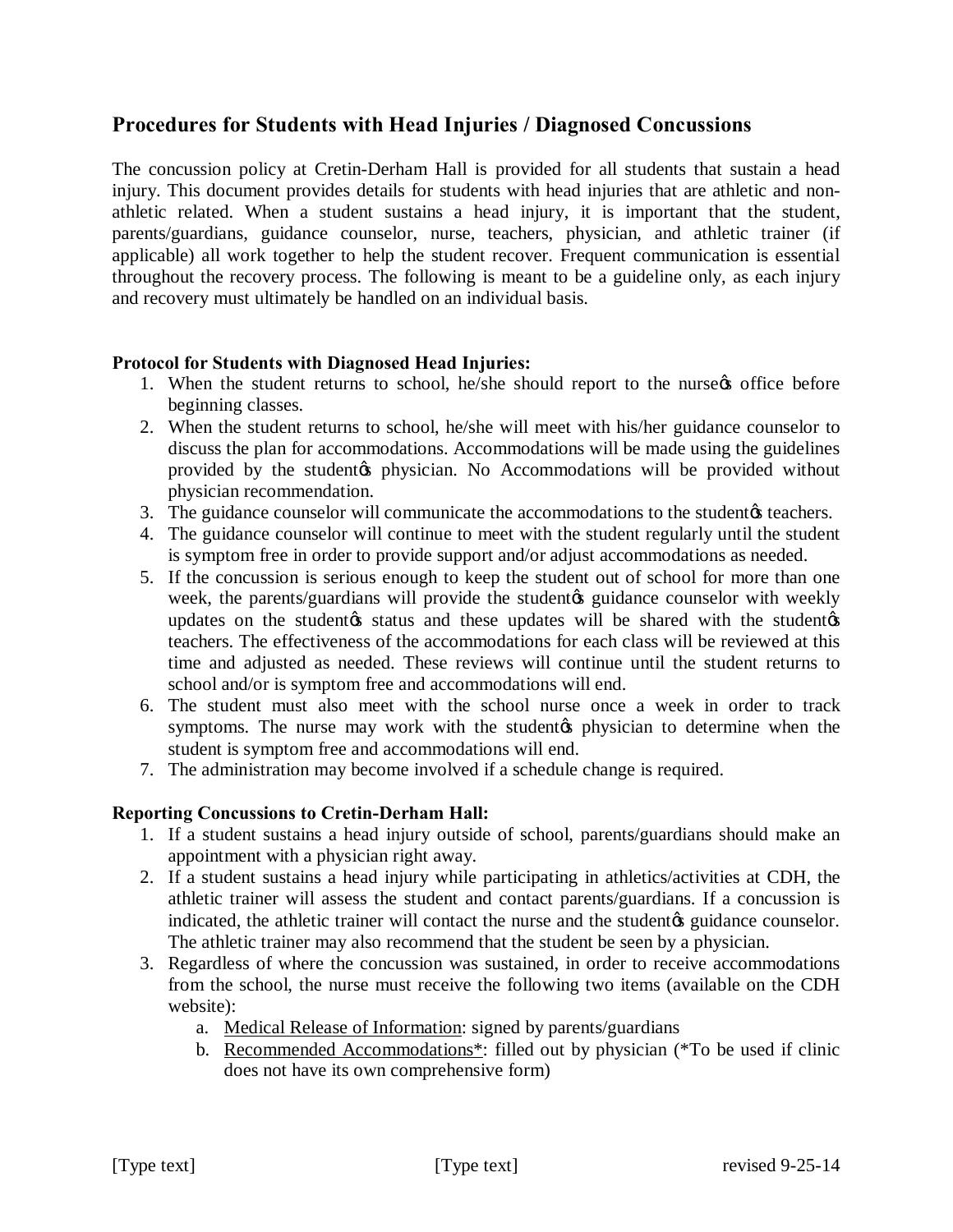# **Procedures for Students with Head Injuries / Diagnosed Concussions**

The concussion policy at Cretin-Derham Hall is provided for all students that sustain a head injury. This document provides details for students with head injuries that are athletic and nonathletic related. When a student sustains a head injury, it is important that the student, parents/guardians, guidance counselor, nurse, teachers, physician, and athletic trainer (if applicable) all work together to help the student recover. Frequent communication is essential throughout the recovery process. The following is meant to be a guideline only, as each injury and recovery must ultimately be handled on an individual basis.

### **Protocol for Students with Diagnosed Head Injuries:**

- 1. When the student returns to school, he/she should report to the nurse to office before beginning classes.
- 2. When the student returns to school, he/she will meet with his/her guidance counselor to discuss the plan for accommodations. Accommodations will be made using the guidelines provided by the studenty physician. No Accommodations will be provided without physician recommendation.
- 3. The guidance counselor will communicate the accommodations to the student teachers.
- 4. The guidance counselor will continue to meet with the student regularly until the student is symptom free in order to provide support and/or adjust accommodations as needed.
- 5. If the concussion is serious enough to keep the student out of school for more than one week, the parents/guardians will provide the student og guidance counselor with weekly updates on the student ts status and these updates will be shared with the student to teachers. The effectiveness of the accommodations for each class will be reviewed at this time and adjusted as needed. These reviews will continue until the student returns to school and/or is symptom free and accommodations will end.
- 6. The student must also meet with the school nurse once a week in order to track symptoms. The nurse may work with the student the physician to determine when the student is symptom free and accommodations will end.
- 7. The administration may become involved if a schedule change is required.

## **Reporting Concussions to Cretin-Derham Hall:**

- 1. If a student sustains a head injury outside of school, parents/guardians should make an appointment with a physician right away.
- 2. If a student sustains a head injury while participating in athletics/activities at CDH, the athletic trainer will assess the student and contact parents/guardians. If a concussion is indicated, the athletic trainer will contact the nurse and the student  $\alpha$  guidance counselor. The athletic trainer may also recommend that the student be seen by a physician.
- 3. Regardless of where the concussion was sustained, in order to receive accommodations from the school, the nurse must receive the following two items (available on the CDH website):
	- a. Medical Release of Information: signed by parents/guardians
	- b. Recommended Accommodations\*: filled out by physician (\*To be used if clinic does not have its own comprehensive form)